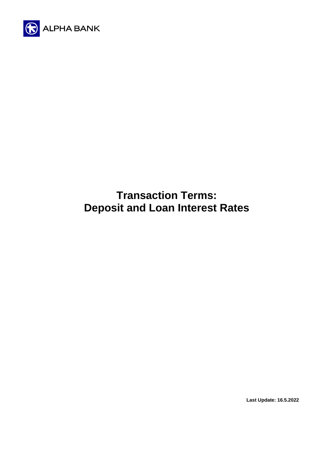

# **Transaction Terms: Deposit and Loan Interest Rates**

**Last Update: 16.5.2022**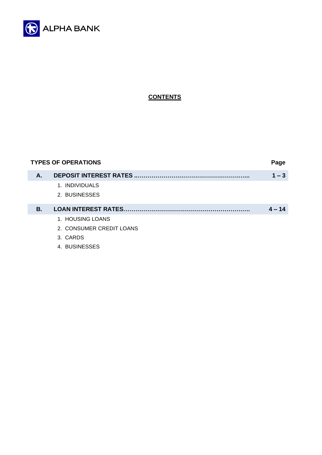

# **CONTENTS**

| <b>TYPES OF OPERATIONS</b><br>Page |                            |          |  |
|------------------------------------|----------------------------|----------|--|
| А.                                 |                            | $1 - 3$  |  |
|                                    | 1. INDIVIDUALS             |          |  |
|                                    | 2. BUSINESSES              |          |  |
|                                    |                            |          |  |
| В.                                 | <b>LOAN INTEREST RATES</b> | $4 - 14$ |  |
|                                    | 1. HOUSING LOANS           |          |  |
|                                    | 2. CONSUMER CREDIT LOANS   |          |  |
|                                    | 3. CARDS                   |          |  |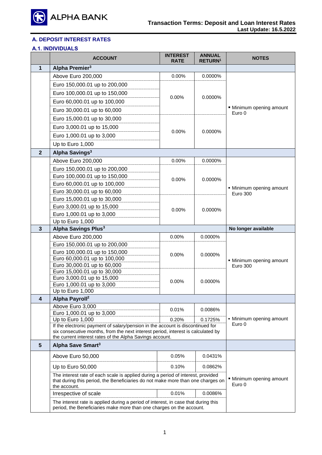

# **Α. DEPOSIT INTEREST RATES**

# **Α.1. INDIVIDUALS**

|                | <b>ACCOUNT</b>                                                                                                                                                                      | <b>INTEREST</b><br><b>RATE</b> | <b>ANNUAL</b><br><b>RETURN1</b> | NOTES                            |
|----------------|-------------------------------------------------------------------------------------------------------------------------------------------------------------------------------------|--------------------------------|---------------------------------|----------------------------------|
| 1              | Alpha Premier <sup>3</sup>                                                                                                                                                          |                                |                                 |                                  |
|                | Above Euro 200,000                                                                                                                                                                  | 0.00%                          | 0.0000%                         |                                  |
|                | Euro 150,000.01 up to 200,000                                                                                                                                                       |                                |                                 |                                  |
|                | Euro 100,000.01 up to 150,000                                                                                                                                                       |                                |                                 |                                  |
|                | Euro 60,000.01 up to 100,000                                                                                                                                                        | 0.00%                          | 0.0000%                         |                                  |
|                | Euro 30,000.01 up to 60,000                                                                                                                                                         |                                |                                 | Minimum opening amount           |
|                | Euro 15,000.01 up to 30,000                                                                                                                                                         |                                |                                 | Euro 0                           |
|                | Euro 3,000.01 up to 15,000                                                                                                                                                          |                                |                                 |                                  |
|                | Euro 1,000.01 up to 3,000                                                                                                                                                           | 0.00%                          | 0.0000%                         |                                  |
|                | Up to Euro 1,000                                                                                                                                                                    |                                |                                 |                                  |
| $\overline{2}$ | Alpha Savings <sup>3</sup>                                                                                                                                                          |                                |                                 |                                  |
|                |                                                                                                                                                                                     |                                |                                 |                                  |
|                | Above Euro 200,000                                                                                                                                                                  | 0.00%                          | 0.0000%                         |                                  |
|                | Euro 150,000.01 up to 200,000                                                                                                                                                       |                                |                                 |                                  |
|                | Euro 100,000.01 up to 150,000                                                                                                                                                       | 0.00%                          | 0.0000%                         |                                  |
|                | Euro 60,000.01 up to 100,000<br>Euro 30,000.01 up to 60,000                                                                                                                         |                                |                                 | • Minimum opening amount         |
|                | Euro 15,000.01 up to 30,000                                                                                                                                                         |                                |                                 | <b>Euro 300</b>                  |
|                | Euro 3,000.01 up to 15,000                                                                                                                                                          |                                |                                 |                                  |
|                | Euro 1,000.01 up to 3,000                                                                                                                                                           | 0.00%                          | 0.0000%                         |                                  |
|                | Up to Euro 1,000                                                                                                                                                                    |                                |                                 |                                  |
| 3              | Alpha Savings Plus <sup>3</sup>                                                                                                                                                     |                                |                                 | No longer available              |
|                | Above Euro 200,000                                                                                                                                                                  | 0.00%                          | 0.0000%                         |                                  |
|                | Euro 150,000.01 up to 200,000                                                                                                                                                       |                                |                                 |                                  |
|                | Euro 100,000.01 up to 150,000                                                                                                                                                       |                                |                                 |                                  |
|                | Euro 60,000.01 up to 100,000                                                                                                                                                        | 0.00%                          | 0.0000%                         | • Minimum opening amount         |
|                | Euro 30,000.01 up to 60,000                                                                                                                                                         |                                |                                 | <b>Euro 300</b>                  |
|                | Euro 15,000.01 up to 30,000                                                                                                                                                         |                                |                                 |                                  |
|                | Euro 3,000.01 up to 15,000                                                                                                                                                          | 0.00%                          | 0.0000%                         |                                  |
|                | Euro 1,000.01 up to 3,000<br>Up to Euro 1,000                                                                                                                                       |                                |                                 |                                  |
| 4              | Alpha Payroll <sup>2</sup>                                                                                                                                                          |                                |                                 |                                  |
|                | Above Euro 3,000                                                                                                                                                                    |                                |                                 |                                  |
|                | Euro 1,000.01 up to 3,000                                                                                                                                                           | 0.01%                          | 0.0086%                         |                                  |
|                | Up to Euro 1,000                                                                                                                                                                    | 0.20%                          | 0.1725%                         | • Minimum opening amount         |
|                | If the electronic payment of salary/pension in the account is discontinued for                                                                                                      |                                |                                 | Euro 0                           |
|                | six consecutive months, from the next interest period, interest is calculated by<br>the current interest rates of the Alpha Savings account.                                        |                                |                                 |                                  |
| $5\phantom{1}$ | Alpha Save Smart <sup>3</sup>                                                                                                                                                       |                                |                                 |                                  |
|                |                                                                                                                                                                                     | 0.05%                          | 0.0431%                         |                                  |
|                | Above Euro 50,000                                                                                                                                                                   |                                |                                 |                                  |
|                | Up to Euro 50,000                                                                                                                                                                   | 0.10%                          | 0.0862%                         |                                  |
|                | The interest rate of each scale is applied during a period of interest, provided<br>that during this period, the Beneficiaries do not make more than one charges on<br>the account. |                                |                                 | Minimum opening amount<br>Euro 0 |
|                | Irrespective of scale                                                                                                                                                               | 0.01%                          | 0.0086%                         |                                  |
|                | The interest rate is applied during a period of interest, in case that during this<br>period, the Beneficiaries make more than one charges on the account.                          |                                |                                 |                                  |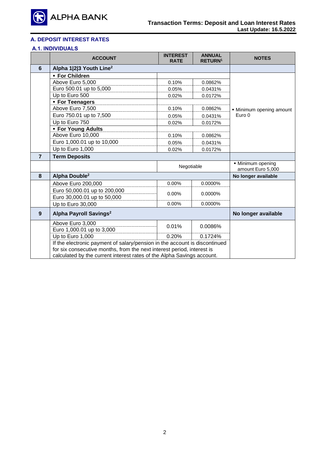

# **Α. DEPOSIT INTEREST RATES**

# **Α.1. INDIVIDUALS**

|                 | <b>ACCOUNT</b>                                                             | <b>INTEREST</b><br><b>RATE</b> | <b>ANNUAL</b><br><b>RETURN1</b> | <b>NOTES</b>                           |
|-----------------|----------------------------------------------------------------------------|--------------------------------|---------------------------------|----------------------------------------|
| $6\phantom{1}6$ | Alpha 1 2 3 Youth Line <sup>2</sup>                                        |                                |                                 |                                        |
|                 | • For Children                                                             |                                |                                 |                                        |
|                 | Above Euro 5,000                                                           | 0.10%                          | 0.0862%                         |                                        |
|                 | Euro 500.01 up to 5,000                                                    | 0.05%                          | 0.0431%                         |                                        |
|                 | Up to Euro 500                                                             | 0.02%                          | 0.0172%                         |                                        |
|                 | • For Teenagers                                                            |                                |                                 |                                        |
|                 | Above Euro 7,500                                                           | 0.10%                          | 0.0862%                         | • Minimum opening amount               |
|                 | Euro 750.01 up to 7,500                                                    | 0.05%                          | 0.0431%                         | Euro 0                                 |
|                 | Up to Euro 750                                                             | 0.02%                          | 0.0172%                         |                                        |
|                 | <b>- For Young Adults</b>                                                  |                                |                                 |                                        |
|                 | Above Euro 10,000                                                          | 0.10%                          | 0.0862%                         |                                        |
|                 | Euro 1,000.01 up to 10,000                                                 | 0.05%                          | 0.0431%                         |                                        |
|                 | Up to Euro 1,000                                                           | 0.02%                          | 0.0172%                         |                                        |
| $\overline{7}$  | <b>Term Deposits</b>                                                       |                                |                                 |                                        |
|                 |                                                                            | Negotiable                     |                                 | • Minimum opening<br>amount Euro 5,000 |
| 8               | Alpha Double <sup>2</sup>                                                  |                                |                                 | No longer available                    |
|                 | Above Euro 200,000                                                         | 0.00%                          | 0.0000%                         |                                        |
|                 | Euro 50,000.01 up to 200,000                                               |                                |                                 |                                        |
|                 | Euro 30,000.01 up to 50,000                                                | $0.00\%$                       | 0.0000%                         |                                        |
|                 | Up to Euro 30,000                                                          | $0.00\%$                       | 0.0000%                         |                                        |
| 9               | Alpha Payroll Savings <sup>2</sup>                                         |                                |                                 | No longer available                    |
|                 | Above Euro 3,000                                                           | 0.01%                          | 0.0086%                         |                                        |
|                 | Euro 1,000.01 up to 3,000                                                  |                                |                                 |                                        |
|                 | Up to Euro 1,000                                                           | 0.20%                          | 0.1724%                         |                                        |
|                 | If the electronic payment of salary/pension in the account is discontinued |                                |                                 |                                        |
|                 | for six consecutive months, from the next interest period, interest is     |                                |                                 |                                        |
|                 | calculated by the current interest rates of the Alpha Savings account.     |                                |                                 |                                        |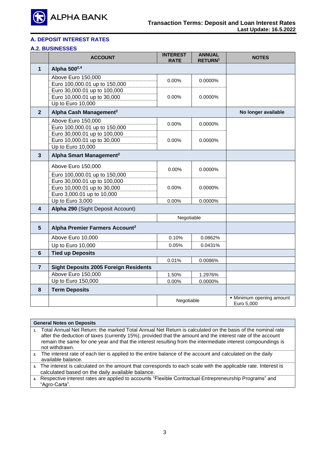

# **Α. DEPOSIT INTEREST RATES**

# **Α.2. BUSINESSES**

|                 | <b>ACCOUNT</b>                                                                   | <b>INTEREST</b><br><b>RATE</b> | <b>ANNUAL</b><br><b>RETURN1</b> | <b>NOTES</b>                           |
|-----------------|----------------------------------------------------------------------------------|--------------------------------|---------------------------------|----------------------------------------|
| $\mathbf{1}$    | Alpha 500 <sup>2,4</sup>                                                         |                                |                                 |                                        |
|                 | Above Euro 150,000<br>Euro 100,000.01 up to 150,000                              | $0.00\%$                       | 0.0000%                         |                                        |
|                 | Euro 30,000.01 up to 100,000<br>Euro 10,000.01 up to 30,000<br>Up to Euro 10,000 | $0.00\%$                       | $0.0000\%$                      |                                        |
| $\overline{2}$  | Alpha Cash Management <sup>2</sup>                                               |                                |                                 | No longer available                    |
|                 | Above Euro 150,000<br>Euro 100,000.01 up to 150,000                              | 0.00%                          | 0.0000%                         |                                        |
|                 | Euro 30,000.01 up to 100,000<br>Euro 10,000.01 up to 30,000<br>Up to Euro 10,000 | 0.00%                          | 0.0000%                         |                                        |
| 3               | Alpha Smart Management <sup>2</sup>                                              |                                |                                 |                                        |
|                 | Above Euro 150,000                                                               | $0.00\%$                       | 0.0000%                         |                                        |
|                 | Euro 100,000.01 up to 150,000<br>Euro 30,000.01 up to 100,000                    |                                |                                 |                                        |
|                 | Euro 10,000.01 up to 30,000<br>Euro 3,000.01 up to 10,000                        | $0.00\%$                       | $0.0000\%$                      |                                        |
|                 | Up to Euro 3,000                                                                 | 0.00%                          | 0.0000%                         |                                        |
| 4               | Alpha 290 (Sight Deposit Account)                                                |                                |                                 |                                        |
|                 |                                                                                  | Negotiable                     |                                 |                                        |
| $5\phantom{.0}$ | Alpha Premier Farmers Account <sup>2</sup>                                       |                                |                                 |                                        |
|                 | Above Euro 10,000                                                                | 0.10%                          | 0.0862%                         |                                        |
|                 | Up to Euro 10,000                                                                | 0.05%                          | 0.0431%                         |                                        |
| $6\phantom{1}$  | <b>Tied up Deposits</b>                                                          |                                |                                 |                                        |
|                 |                                                                                  | 0.01%                          | 0.0086%                         |                                        |
| $\overline{7}$  | <b>Sight Deposits 2005 Foreign Residents</b>                                     |                                |                                 |                                        |
|                 | Above Euro 150,000<br>Up to Euro 150,000                                         | 1.50%<br>0.00%                 | 1.2976%<br>0.0000%              |                                        |
| 8               | <b>Term Deposits</b>                                                             |                                |                                 |                                        |
|                 |                                                                                  |                                |                                 |                                        |
|                 |                                                                                  | Negotiable                     |                                 | • Minimum opening amount<br>Euro 5,000 |

|                | <b>General Notes on Deposits</b>                                                                                                                                                                                                                                                                                                                           |
|----------------|------------------------------------------------------------------------------------------------------------------------------------------------------------------------------------------------------------------------------------------------------------------------------------------------------------------------------------------------------------|
| $\blacksquare$ | Total Annual Net Return: the marked Total Annual Net Return is calculated on the basis of the nominal rate<br>after the deduction of taxes (currently 15%), provided that the amount and the interest rate of the account<br>remain the same for one year and that the interest resulting from the intermediate interest compoundings is<br>not withdrawn. |
|                | 2. The interest rate of each tier is applied to the entire balance of the account and calculated on the daily<br>available balance.                                                                                                                                                                                                                        |
|                | 3. The interest is calculated on the amount that corresponds to each scale with the applicable rate. Interest is<br>calculated based on the daily available balance.                                                                                                                                                                                       |
|                | 4. Respective interest rates are applied to accounts "Flexible Contractual Entrepreneurship Programs" and<br>"Agro-Carta".                                                                                                                                                                                                                                 |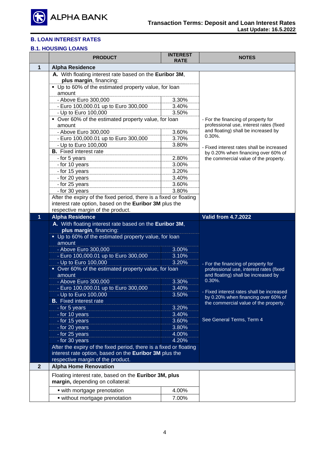

# **Β.1. HOUSING LOANS**

|                | <b>PRODUCT</b>                                                                     | <b>INTEREST</b><br><b>RATE</b> | <b>NOTES</b>                                                                   |  |
|----------------|------------------------------------------------------------------------------------|--------------------------------|--------------------------------------------------------------------------------|--|
| 1              | <b>Alpha Residence</b>                                                             |                                |                                                                                |  |
|                | A. With floating interest rate based on the Euribor 3M,<br>plus margin, financing: |                                |                                                                                |  |
|                | • Up to 60% of the estimated property value, for loan                              |                                |                                                                                |  |
|                | amount                                                                             |                                |                                                                                |  |
|                | - Above Euro 300,000                                                               | 3.30%                          |                                                                                |  |
|                | - Euro 100,000.01 up to Euro 300,000                                               | 3.40%                          |                                                                                |  |
|                | - Up to Euro 100,000                                                               | 3.50%                          |                                                                                |  |
|                | • Over 60% of the estimated property value, for loan                               |                                | - For the financing of property for                                            |  |
|                | amount                                                                             |                                | professional use, interest rates (fixed                                        |  |
|                | - Above Euro 300,000                                                               | 3.60%                          | and floating) shall be increased by<br>$0.30\%$ .                              |  |
|                | - Euro 100,000.01 up to Euro 300,000                                               | 3.70%                          |                                                                                |  |
|                | - Up to Euro 100,000                                                               | 3.80%                          | - Fixed interest rates shall be increased                                      |  |
|                | <b>B.</b> Fixed interest rate                                                      |                                | by 0.20% when financing over 60% of                                            |  |
|                | - for 5 years                                                                      | 2.80%                          | the commercial value of the property.                                          |  |
|                | - for 10 years                                                                     | 3.00%                          |                                                                                |  |
|                | - for 15 years                                                                     | 3.20%                          |                                                                                |  |
|                | - for 20 years                                                                     | 3.40%                          |                                                                                |  |
|                | - for 25 years                                                                     | 3.60%                          |                                                                                |  |
|                | - for 30 years                                                                     | 3.80%                          |                                                                                |  |
|                | After the expiry of the fixed period, there is a fixed or floating                 |                                |                                                                                |  |
|                | interest rate option, based on the Euribor 3M plus the                             |                                |                                                                                |  |
|                | respective margin of the product.                                                  |                                |                                                                                |  |
| 1              | <b>Alpha Residence</b>                                                             |                                | <b>Valid from 4.7.2022</b>                                                     |  |
|                | A. With floating interest rate based on the Euribor 3M,                            |                                |                                                                                |  |
|                | plus margin, financing:                                                            |                                |                                                                                |  |
|                | • Up to 60% of the estimated property value, for loan<br>amount                    |                                |                                                                                |  |
|                | - Above Euro 300,000                                                               | 3.00%                          |                                                                                |  |
|                | - Euro 100,000.01 up to Euro 300,000                                               | 3.10%                          |                                                                                |  |
|                | - Up to Euro 100,000                                                               | 3.20%                          |                                                                                |  |
|                | • Over 60% of the estimated property value, for loan                               |                                | - For the financing of property for<br>professional use, interest rates (fixed |  |
|                | amount                                                                             |                                | and floating) shall be increased by                                            |  |
|                | - Above Euro 300,000                                                               | 3.30%                          | $0.30\%$ .                                                                     |  |
|                | - Euro 100,000.01 up to Euro 300,000                                               | 3.40%                          |                                                                                |  |
|                | - Up to Euro 100,000                                                               | 3.50%                          | - Fixed interest rates shall be increased                                      |  |
|                | <b>B.</b> Fixed interest rate                                                      |                                | by 0.20% when financing over 60% of<br>the commercial value of the property.   |  |
|                | - for 5 years                                                                      | 3.20%                          |                                                                                |  |
|                | - for 10 years                                                                     | 3.40%                          |                                                                                |  |
|                | - for 15 years                                                                     | 3.60%                          | See General Terms, Term 4                                                      |  |
|                | - for 20 years                                                                     | 3.80%                          |                                                                                |  |
|                | - for 25 years                                                                     | 4.00%                          |                                                                                |  |
|                | - for 30 years                                                                     | 4.20%                          |                                                                                |  |
|                | After the expiry of the fixed period, there is a fixed or floating                 |                                |                                                                                |  |
|                | interest rate option, based on the Euribor 3M plus the                             |                                |                                                                                |  |
|                | respective margin of the product.                                                  |                                |                                                                                |  |
| $\overline{2}$ | <b>Alpha Home Renovation</b>                                                       |                                |                                                                                |  |
|                | Floating interest rate, based on the Euribor 3M, plus                              |                                |                                                                                |  |
|                | margin, depending on collateral:                                                   |                                |                                                                                |  |
|                |                                                                                    |                                |                                                                                |  |
|                | • with mortgage prenotation                                                        | 4.00%                          |                                                                                |  |
|                | • without mortgage prenotation                                                     | 7.00%                          |                                                                                |  |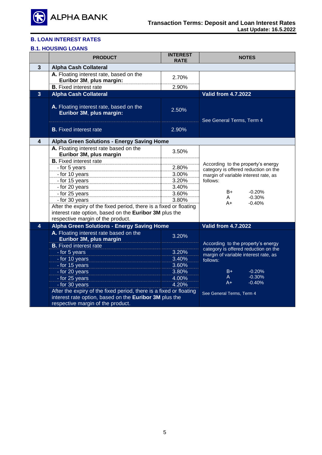

# **Β.1. HOUSING LOANS**

|                | <b>PRODUCT</b>                                                                                                                                                    | <b>INTEREST</b><br><b>RATE</b> | <b>NOTES</b>                                                               |  |
|----------------|-------------------------------------------------------------------------------------------------------------------------------------------------------------------|--------------------------------|----------------------------------------------------------------------------|--|
| $\mathbf{3}$   | <b>Alpha Cash Collateral</b>                                                                                                                                      |                                |                                                                            |  |
|                | A. Floating interest rate, based on the<br>Euribor 3M, plus margin:                                                                                               | 2.70%                          |                                                                            |  |
|                | <b>B.</b> Fixed interest rate                                                                                                                                     | 2.90%                          |                                                                            |  |
| $\overline{3}$ | <b>Alpha Cash Collateral</b>                                                                                                                                      |                                | <b>Valid from 4.7.2022</b>                                                 |  |
|                | A. Floating interest rate, based on the<br>Euribor 3M, plus margin:                                                                                               | 2.50%                          | See General Terms, Term 4                                                  |  |
|                | <b>B.</b> Fixed interest rate                                                                                                                                     | 2.90%                          |                                                                            |  |
| 4              | Alpha Green Solutions - Energy Saving Home                                                                                                                        |                                |                                                                            |  |
|                | A. Floating interest rate based on the<br>Euribor 3M, plus margin                                                                                                 | 3.50%                          |                                                                            |  |
|                | <b>B.</b> Fixed interest rate                                                                                                                                     |                                | According to the property's energy                                         |  |
|                | - for 5 years                                                                                                                                                     | 2.80%                          | category is offered reduction on the                                       |  |
|                | - for 10 years                                                                                                                                                    | 3.00%                          | margin of variable interest rate, as                                       |  |
|                | - for 15 years                                                                                                                                                    | 3.20%                          | follows:                                                                   |  |
|                | - for 20 years                                                                                                                                                    | 3.40%                          |                                                                            |  |
|                | - for 25 years                                                                                                                                                    | 3.60%                          | B+<br>$-0.20%$<br>$-0.30%$<br>A                                            |  |
|                | - for 30 years                                                                                                                                                    | 3.80%                          | A+<br>$-0.40%$                                                             |  |
|                | After the expiry of the fixed period, there is a fixed or floating<br>interest rate option, based on the Euribor 3M plus the<br>respective margin of the product. |                                |                                                                            |  |
| 4              | <b>Alpha Green Solutions - Energy Saving Home</b>                                                                                                                 |                                | <b>Valid from 4.7.2022</b>                                                 |  |
|                | A. Floating interest rate based on the<br>Euribor 3M, plus margin                                                                                                 | 3.20%                          |                                                                            |  |
|                | <b>B.</b> Fixed interest rate                                                                                                                                     |                                | According to the property's energy<br>category is offered reduction on the |  |
|                | - for 5 years                                                                                                                                                     | 3.20%                          | margin of variable interest rate, as                                       |  |
|                | - for 10 years                                                                                                                                                    | 3.40%                          | follows:                                                                   |  |
|                | - for 15 years                                                                                                                                                    | 3.60%                          |                                                                            |  |
|                | - for 20 years                                                                                                                                                    | 3.80%                          | $-0.20%$<br>B+                                                             |  |
|                | - for 25 years                                                                                                                                                    | 4.00%                          | $-0.30%$<br>A.                                                             |  |
|                | - for 30 years                                                                                                                                                    | 4.20%                          | $-0.40%$<br>$A+$                                                           |  |
|                | After the expiry of the fixed period, there is a fixed or floating                                                                                                |                                | See General Terms, Term 4                                                  |  |
|                | interest rate option, based on the Euribor 3M plus the                                                                                                            |                                |                                                                            |  |
|                | respective margin of the product.                                                                                                                                 |                                |                                                                            |  |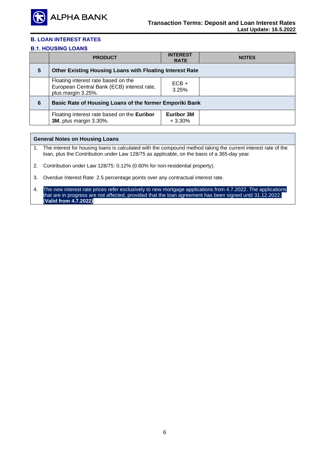

# **Β.1. HOUSING LOANS**

|   | <b>PRODUCT</b>                                                                                          | <b>INTEREST</b><br><b>RATE</b> | <b>NOTES</b> |  |
|---|---------------------------------------------------------------------------------------------------------|--------------------------------|--------------|--|
| 5 | Other Existing Housing Loans with Floating Interest Rate                                                |                                |              |  |
|   | Floating interest rate based on the<br>European Central Bank (ECB) interest rate,<br>plus margin 3.25%. | $ECB +$<br>3.25%               |              |  |
| 6 | Basic Rate of Housing Loans of the former Emporiki Bank                                                 |                                |              |  |
|   | Floating interest rate based on the Euribor<br><b>3M</b> , plus margin 3.30%.                           | <b>Euribor 3M</b><br>$+3.30%$  |              |  |

#### **General Notes on Housing Loans**

1. The interest for housing loans is calculated with the compound method taking the current interest rate of the loan, plus the Contribution under Law 128/75 as applicable, on the basis of a 365-day year.

2. Contribution under Law 128/75: 0.12% (0.60% for non-residential property).

3. Overdue Interest Rate: 2.5 percentage points over any contractual interest rate.

4. The new interest rate prices refer exclusively to new mortgage applications from 4.7.2022. The applications that are in progress are not affected, provided that the loan agreement has been signed until 31.12.2022. (**Valid from 4.7.2022)**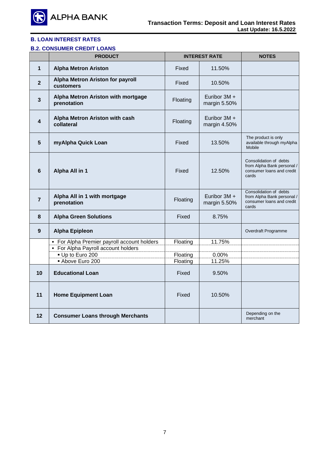

# **Β.2. CONSUMER CREDIT LOANS**

|                         | <b>PRODUCT</b>                                       | <b>INTEREST RATE</b> |                                | <b>NOTES</b>                                                                               |
|-------------------------|------------------------------------------------------|----------------------|--------------------------------|--------------------------------------------------------------------------------------------|
| 1                       | <b>Alpha Metron Ariston</b>                          | Fixed                | 11.50%                         |                                                                                            |
| $\mathbf{2}$            | <b>Alpha Metron Ariston for payroll</b><br>customers | Fixed                | 10.50%                         |                                                                                            |
| $\overline{\mathbf{3}}$ | Alpha Metron Ariston with mortgage<br>prenotation    | Floating             | Euribor 3M +<br>margin 5.50%   |                                                                                            |
| 4                       | Alpha Metron Ariston with cash<br>collateral         | Floating             | Euribor $3M +$<br>margin 4.50% |                                                                                            |
| 5                       | myAlpha Quick Loan                                   | Fixed                | 13.50%                         | The product is only<br>available through myAlpha<br>Mobile                                 |
| 6                       | Alpha All in 1                                       | Fixed                | 12.50%                         | Consolidation of debts<br>from Alpha Bank personal /<br>consumer loans and credit<br>cards |
| $\overline{7}$          | Alpha All in 1 with mortgage<br>prenotation          | Floating             | Euribor $3M +$<br>margin 5.50% | Consolidation of debts<br>from Alpha Bank personal /<br>consumer loans and credit<br>cards |
| 8                       | <b>Alpha Green Solutions</b>                         | Fixed                | 8.75%                          |                                                                                            |
| 9                       | <b>Alpha Epipleon</b>                                |                      |                                | Overdraft Programme                                                                        |
|                         | • For Alpha Premier payroll account holders          | Floating             | 11.75%                         |                                                                                            |
|                         | • For Alpha Payroll account holders                  |                      |                                |                                                                                            |
|                         | Up to Euro 200                                       | Floating             | 0.00%                          |                                                                                            |
|                         | Above Euro 200                                       | Floating             | 11.25%                         |                                                                                            |
| 10                      | <b>Educational Loan</b>                              | Fixed                | 9.50%                          |                                                                                            |
| 11                      | <b>Home Equipment Loan</b>                           | Fixed                | 10.50%                         |                                                                                            |
| $12 \,$                 | <b>Consumer Loans through Merchants</b>              |                      |                                | Depending on the<br>merchant                                                               |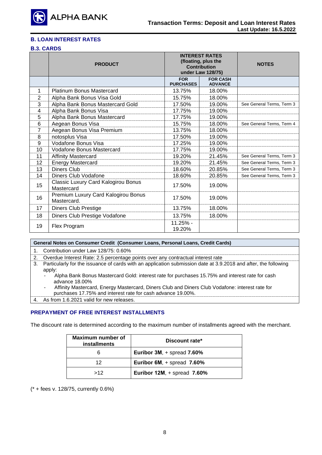

#### **Β.3. CARDS**

|    | <b>PRODUCT</b>                                     | <b>INTEREST RATES</b><br>(floating, plus the<br><b>Contribution</b><br>under Law 128/75) |                                   | <b>NOTES</b>              |
|----|----------------------------------------------------|------------------------------------------------------------------------------------------|-----------------------------------|---------------------------|
|    |                                                    | <b>FOR</b><br><b>PURCHASES</b>                                                           | <b>FOR CASH</b><br><b>ADVANCE</b> |                           |
| 1  | <b>Platinum Bonus Mastercard</b>                   | 13.75%                                                                                   | 18.00%                            |                           |
| 2  | Alpha Bank Bonus Visa Gold                         | 15.75%                                                                                   | 18.00%                            |                           |
| 3  | Alpha Bank Bonus Mastercard Gold                   | 17.50%                                                                                   | 19.00%                            | See General Terms, Term 3 |
| 4  | Alpha Bank Bonus Visa                              | 17.75%                                                                                   | 19.00%                            |                           |
| 5  | Alpha Bank Bonus Mastercard                        | 17.75%                                                                                   | 19.00%                            |                           |
| 6  | Aegean Bonus Visa                                  | 15.75%                                                                                   | 18.00%                            | See General Terms, Term 4 |
| 7  | Aegean Bonus Visa Premium                          | 13.75%                                                                                   | 18.00%                            |                           |
| 8  | notosplus Visa                                     | 17.50%                                                                                   | 19.00%                            |                           |
| 9  | Vodafone Bonus Visa                                | 17.25%                                                                                   | 19.00%                            |                           |
| 10 | <b>Vodafone Bonus Mastercard</b>                   | 17.75%                                                                                   | 19.00%                            |                           |
| 11 | <b>Affinity Mastercard</b>                         | 19.20%                                                                                   | 21.45%                            | See General Terms, Term 3 |
| 12 | <b>Energy Mastercard</b>                           | 19.20%                                                                                   | 21.45%                            | See General Terms, Term 3 |
| 13 | <b>Diners Club</b>                                 | 18.60%                                                                                   | 20.85%                            | See General Terms, Term 3 |
| 14 | Diners Club Vodafone                               | 18.60%                                                                                   | 20.85%                            | See General Terms, Term 3 |
| 15 | Classic Luxury Card Kalogirou Bonus<br>Mastercard  | 17.50%                                                                                   | 19.00%                            |                           |
| 16 | Premium Luxury Card Kalogirou Bonus<br>Mastercard. | 17.50%                                                                                   | 19.00%                            |                           |
| 17 | <b>Diners Club Prestige</b>                        | 13.75%                                                                                   | 18.00%                            |                           |
| 18 | Diners Club Prestige Vodafone                      | 13.75%                                                                                   | 18.00%                            |                           |
| 19 | Flex Program                                       | 11.25% -<br>19.20%                                                                       |                                   |                           |

#### **General Notes on Consumer Credit (Consumer Loans, Personal Loans, Credit Cards)**

1. Contribution under Law 128/75: 0.60%

2. Overdue Interest Rate: 2.5 percentage points over any contractual interest rate

#### 3. Particularly for the issuance of cards with an application submission date at 3.9.2018 and after, the following apply:

- Alpha Bank Bonus Mastercard Gold: interest rate for purchases 15.75% and interest rate for cash advance 18.00%
- Affinity Mastercard, Energy Mastercard, Diners Club and Diners Club Vodafone: interest rate for

purchases 17.75% and interest rate for cash advance 19.00%.

4. As from 1.6.2021 valid for new releases.

#### **PREPAYMENT OF FREE INTEREST INSTALLMENTS**

The discount rate is determined according to the maximum number of installments agreed with the merchant.

| <b>Maximum number of</b><br><b>installments</b> | Discount rate*                    |
|-------------------------------------------------|-----------------------------------|
|                                                 | Euribor 3M, + spread 7.60%        |
| 12                                              | Euribor 6M, + spread 7.60%        |
| >12                                             | Euribor $12M$ , + spread $7.60\%$ |

(\* + fees v. 128/75, currently 0.6%)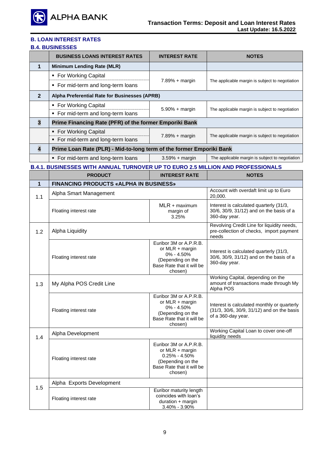

#### **Β.4. BUSINESSES**

|                         | <b>BUSINESS LOANS INTEREST RATES</b>                                                   | <b>INTEREST RATE</b>                                                                                                        | <b>NOTES</b>                                                                                                    |
|-------------------------|----------------------------------------------------------------------------------------|-----------------------------------------------------------------------------------------------------------------------------|-----------------------------------------------------------------------------------------------------------------|
| 1                       | <b>Minimum Lending Rate (MLR)</b>                                                      |                                                                                                                             |                                                                                                                 |
|                         | ■ For Working Capital                                                                  |                                                                                                                             |                                                                                                                 |
|                         | • For mid-term and long-term loans                                                     | $7.89% + margin$                                                                                                            | The applicable margin is subject to negotiation                                                                 |
| $\overline{2}$          | Alpha Preferential Rate for Businesses (APRB)                                          |                                                                                                                             |                                                                                                                 |
|                         | ■ For Working Capital<br>• For mid-term and long-term loans                            | $5.90% + margin$                                                                                                            | The applicable margin is subject to negotiation                                                                 |
| $\overline{\mathbf{3}}$ | Prime Financing Rate (PFR) of the former Emporiki Bank                                 |                                                                                                                             |                                                                                                                 |
|                         | • For Working Capital<br>• For mid-term and long-term loans                            | $7.89% + margin$                                                                                                            | The applicable margin is subject to negotiation                                                                 |
| $\overline{\mathbf{4}}$ | Prime Loan Rate (PLR) - Mid-to-long term of the former Emporiki Bank                   |                                                                                                                             |                                                                                                                 |
|                         | • For mid-term and long-term loans                                                     | $3.59% + margin$                                                                                                            | The applicable margin is subject to negotiation                                                                 |
|                         | <b>B.4.1. BUSINESSES WITH ANNUAL TURNOVER UP TO EURO 2.5 MILLION AND PROFESSIONALS</b> |                                                                                                                             |                                                                                                                 |
|                         | <b>PRODUCT</b>                                                                         | <b>INTEREST RATE</b>                                                                                                        | <b>NOTES</b>                                                                                                    |
| $\mathbf 1$             | <b>FINANCING PRODUCTS «ALPHA IN BUSINESS»</b>                                          |                                                                                                                             |                                                                                                                 |
| 1.1                     | Alpha Smart Management                                                                 |                                                                                                                             | Account with overdaft limit up to Euro<br>20,000.                                                               |
|                         | Floating interest rate                                                                 | $MLR + maximum$<br>margin of<br>3.25%                                                                                       | Interest is calculated quarterly (31/3,<br>30/6, 30/9, 31/12) and on the basis of a<br>360-day year.            |
| 1.2                     | Alpha Liquidity                                                                        |                                                                                                                             | Revolving Credit Line for liquidity needs,<br>pre-collection of checks, import payment<br>needs                 |
|                         | Floating interest rate                                                                 | Euribor 3M or A.P.R.B.<br>or MLR + margin<br>$0\% - 4.50\%$<br>(Depending on the<br>Base Rate that it will be<br>chosen)    | Interest is calculated quarterly (31/3,<br>30/6, 30/9, 31/12) and on the basis of a<br>360-day year.            |
| 1.3                     | My Alpha POS Credit Line                                                               |                                                                                                                             | Working Capital, depending on the<br>amount of transactions made through My<br>Alpha POS                        |
|                         | Floating interest rate                                                                 | Euribor 3M or A.P.R.B.<br>or MLR + margin<br>0% - 4.50%<br>(Depending on the<br>Base Rate that it will be<br>chosen)        | Interest is calculated monthly or quarterly<br>(31/3, 30/6, 30/9, 31/12) and on the basis<br>of a 360-day year. |
| 1.4                     | Alpha Development                                                                      |                                                                                                                             | Working Capital Loan to cover one-off<br>liquidity needs                                                        |
|                         | Floating interest rate                                                                 | Euribor 3M or A.P.R.B.<br>or MLR + margin<br>$0.25\% - 4.50\%$<br>(Depending on the<br>Base Rate that it will be<br>chosen) |                                                                                                                 |
|                         | Alpha Exports Development                                                              |                                                                                                                             |                                                                                                                 |
| 1.5                     | Floating interest rate                                                                 | Euribor maturity length<br>coincides with loan's<br>duration + margin<br>3.40% - 3.90%                                      |                                                                                                                 |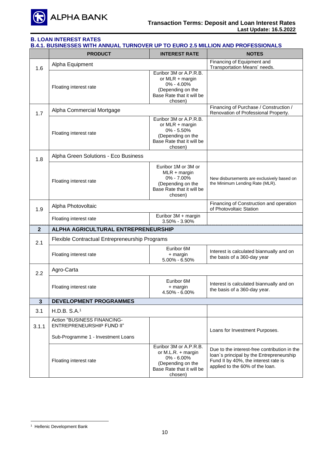

# **Β.4.1. BUSINESSES WITH ANNUAL TURNOVER UP TO EURO 2.5 MILLION AND PROFESSIONALS**

|                | <b>PRODUCT</b>                                           | <b>INTEREST RATE</b>                                                                                                          | <b>NOTES</b>                                                                                                                                                        |  |
|----------------|----------------------------------------------------------|-------------------------------------------------------------------------------------------------------------------------------|---------------------------------------------------------------------------------------------------------------------------------------------------------------------|--|
| 1.6            | Alpha Equipment                                          |                                                                                                                               | Financing of Equipment and<br>Transportation Means' needs.                                                                                                          |  |
|                | Floating interest rate                                   | Euribor 3M or A.P.R.B.<br>or $MLR + margin$<br>0% - 4.00%<br>(Depending on the<br>Base Rate that it will be<br>chosen)        |                                                                                                                                                                     |  |
| 1.7            | Alpha Commercial Mortgage                                |                                                                                                                               | Financing of Purchase / Construction /<br>Renovation of Professional Property.                                                                                      |  |
|                | Floating interest rate                                   | Euribor 3M or A.P.R.B.<br>or MLR + margin<br>$0\% - 5.50\%$<br>(Depending on the<br>Base Rate that it will be<br>chosen)      |                                                                                                                                                                     |  |
| 1.8            | Alpha Green Solutions - Eco Business                     |                                                                                                                               |                                                                                                                                                                     |  |
|                | Floating interest rate                                   | Euribor 1M or 3M or<br>$MLR + margin$<br>$0\% - 7.00\%$<br>(Depending on the<br>Base Rate that it will be<br>chosen)          | New disbursements are exclusively based on<br>the Minimum Lending Rate (MLR).                                                                                       |  |
| 1.9            | Alpha Photovoltaic                                       |                                                                                                                               | Financing of Construction and operation<br>of Photovoltaic Station                                                                                                  |  |
|                | Floating interest rate                                   | Euribor 3M + margin<br>$3.50\% - 3.90\%$                                                                                      |                                                                                                                                                                     |  |
| $\overline{2}$ | ALPHA AGRICULTURAL ENTREPRENEURSHIP                      |                                                                                                                               |                                                                                                                                                                     |  |
| 2.1            | Flexible Contractual Entrepreneurship Programs           |                                                                                                                               |                                                                                                                                                                     |  |
|                | Floating interest rate                                   | Euribor 6M<br>+ margin<br>$5.00\% - 6.50\%$                                                                                   | Interest is calculated biannually and on<br>the basis of a 360-day year                                                                                             |  |
| 2.2            | Agro-Carta                                               |                                                                                                                               |                                                                                                                                                                     |  |
|                | Floating interest rate                                   | Euribor 6M<br>+ margin<br>4.50% - 6.00%                                                                                       | Interest is calculated biannually and on<br>the basis of a 360-day year.                                                                                            |  |
| 3              | <b>DEVELOPMENT PROGRAMMES</b>                            |                                                                                                                               |                                                                                                                                                                     |  |
| 3.1            | H.D.B. S.A.1                                             |                                                                                                                               |                                                                                                                                                                     |  |
| 3.1.1          | Action "BUSINESS FINANCING-<br>ENTREPRENEURSHIP FUND II" |                                                                                                                               | Loans for Investment Purposes.                                                                                                                                      |  |
|                | Sub-Programme 1 - Investment Loans                       |                                                                                                                               |                                                                                                                                                                     |  |
|                | Floating interest rate                                   | Euribor 3M or A.P.R.B.<br>or $M.L.R. + margin$<br>$0\% - 6.00\%$<br>(Depending on the<br>Base Rate that it will be<br>chosen) | Due to the interest-free contribution in the<br>loan's principal by the Entrepreneurship<br>Fund II by 40%, the interest rate is<br>applied to the 60% of the loan. |  |

<sup>1</sup> Hellenic Development Bank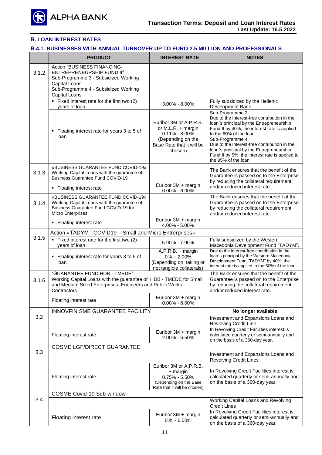

# **Β.4.1. BUSINESSES WITH ANNUAL TURNOVER UP TO EURO 2.5 MILLION AND PROFESSIONALS**

|                                         | <b>PRODUCT</b>                                                                                                                                                                | <b>INTEREST RATE</b>                                                                                                           | <b>NOTES</b>                                                                                                                                                                                                                                                                                                                                                                     |
|-----------------------------------------|-------------------------------------------------------------------------------------------------------------------------------------------------------------------------------|--------------------------------------------------------------------------------------------------------------------------------|----------------------------------------------------------------------------------------------------------------------------------------------------------------------------------------------------------------------------------------------------------------------------------------------------------------------------------------------------------------------------------|
| 3.1.2                                   | Action "BUSINESS FINANCING-<br>ENTREPRENEURSHIP FUND II"<br>Sub-Programme 3 - Subsidized Working<br>Capital Loans<br>Sub-Programme 4 - Subsidized Working<br>Capital Loans    |                                                                                                                                |                                                                                                                                                                                                                                                                                                                                                                                  |
|                                         | • Fixed interest rate for the first two (2)<br>years of loan                                                                                                                  | $3.00\% - 8.00\%$                                                                                                              | Fully subsidized by the Hellenic<br>Development Bank.                                                                                                                                                                                                                                                                                                                            |
|                                         | Floating interest rate for years 3 to 5 of<br>loan                                                                                                                            | Euribor 3M or A.P.R.B.<br>or M.L.R. + margin<br>$0.11\% - 8.00\%$<br>(Depending on the<br>Base Rate that it will be<br>chosen) | Sub-Programme 3:<br>Due to the interest-free contribution in the<br>loan's principal by the Entrepreneurship<br>Fund II by 40%, the interest rate is applied<br>to the 60% of the loan.<br>Sub-Programme 4:<br>Due to the interest-free contribution in the<br>loan's principal by the Entrepreneurship<br>Fund II by 5%, the interest rate is applied to<br>the 95% of the loan |
| 3.1.3                                   | «BUSINESS GUARANTEE FUND COVID-19»<br>Working Capital Loans with the guarantee of<br><b>Business Guarantee Fund COVID-19</b>                                                  |                                                                                                                                | The Bank ensures that the benefit of the<br>Guarantee is passed on to the Enterprise<br>by reducing the collateral requirement                                                                                                                                                                                                                                                   |
|                                         | • Floating interest rate                                                                                                                                                      | Euribor 3M + margin<br>$0.00\% - 6.00\%$                                                                                       | and/or reduced interest rate.                                                                                                                                                                                                                                                                                                                                                    |
| 3.1.4                                   | «BUSINESS GUARANTEE FUND COVID-19»<br>Working Capital Loans with the guarantee of<br>Business Guarantee Fund COVID-19 for<br><b>Micro Enterprises</b>                         |                                                                                                                                | The Bank ensures that the benefit of the<br>Guarantee is passed on to the Enterprise<br>by reducing the collateral requirement<br>and/or reduced interest rate.                                                                                                                                                                                                                  |
|                                         | • Floating interest rate                                                                                                                                                      | Euribor 3M + margin<br>4.00% - 5.00%                                                                                           |                                                                                                                                                                                                                                                                                                                                                                                  |
| 3.1.5                                   | Action «TADYM - COVID19 - Small and Micro Entrerprises»                                                                                                                       |                                                                                                                                |                                                                                                                                                                                                                                                                                                                                                                                  |
|                                         | Fixed interest rate for the first two (2)<br>years of loan                                                                                                                    | 5.90% - 7.90%                                                                                                                  | Fully subsidized by the Western<br>Macedonia Development Fund "TADYM".                                                                                                                                                                                                                                                                                                           |
|                                         | • Floating interest rate for years 3 to 5 of<br>loan                                                                                                                          | $A.P.R.B. + margin$<br>$0\% - 2.00\%$<br>(Depending on taking or<br>not tangible collaterals)                                  | Due to the interest-free contribution in the<br>loan's principal by the Western Macedonia<br>Development Fund "TADYM" by 40%, the<br>interest rate is applied to the 60% of the loan.                                                                                                                                                                                            |
| 3.1.6                                   | "GUARANTEE FUND HDB - TMEDE"<br>Working Capital Loans with the guarantee of HDB - TMEDE for Small<br>and Medium Sized Enterprises - Engineers and Public Works<br>Contractors |                                                                                                                                | The Bank ensures that the benefit of the<br>Guarantee is passed on to the Enterprise<br>by reducing the collateral requirement<br>and/or reduced interest rate.                                                                                                                                                                                                                  |
|                                         | Floating interest rate                                                                                                                                                        | Euribor 3M + margin<br>$0.00\% - 6.00\%$                                                                                       |                                                                                                                                                                                                                                                                                                                                                                                  |
|                                         | INNOVFIN SME GUARANTEE FACILITY                                                                                                                                               |                                                                                                                                | No longer available                                                                                                                                                                                                                                                                                                                                                              |
| 3.2                                     |                                                                                                                                                                               |                                                                                                                                | Investment and Expansions Loans and<br><b>Revolving Credit Line</b>                                                                                                                                                                                                                                                                                                              |
|                                         | Floating interest rate                                                                                                                                                        | Euribor 3M + margin<br>2.00% - 6.50%                                                                                           | In Revolving Credit Facilities interest is<br>calculated quarterly or semi-annually and<br>on the basis of a 360-day year.                                                                                                                                                                                                                                                       |
| 3.3                                     | <b>COSME LGF/DIRECT GUARANTEE</b>                                                                                                                                             |                                                                                                                                |                                                                                                                                                                                                                                                                                                                                                                                  |
|                                         |                                                                                                                                                                               | Investment and Expansions Loans and<br><b>Revolving Credit Lines</b>                                                           |                                                                                                                                                                                                                                                                                                                                                                                  |
|                                         | Floating interest rate                                                                                                                                                        | Euribor 3M or A.P.R.B.<br>+ margin<br>$0.75\% - 5.50\%$<br>(Depending on the Base<br>Rate that it will be chosen)              | In Revolving Credit Facilities interest is<br>calculated quarterly or semi-annually and<br>on the basis of a 360-day year.                                                                                                                                                                                                                                                       |
| <b>COSME Covid-19 Sub-window</b><br>3.4 |                                                                                                                                                                               |                                                                                                                                |                                                                                                                                                                                                                                                                                                                                                                                  |
|                                         |                                                                                                                                                                               |                                                                                                                                | Working Capital Loans and Revolving<br><b>Credit Lines</b>                                                                                                                                                                                                                                                                                                                       |
|                                         | Floating interest rate                                                                                                                                                        | Euribor 3M + margin<br>$0.% - 6.00%$                                                                                           | In Revolving Credit Facilities interest is<br>calculated quarterly or semi-annually and<br>on the basis of a 360-day year.                                                                                                                                                                                                                                                       |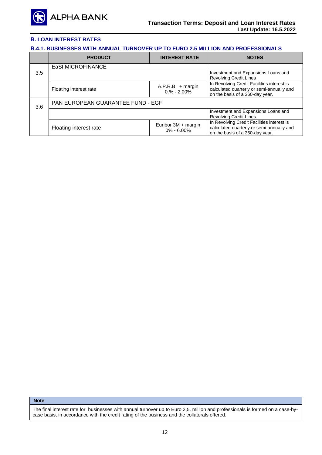

# **Β.4.1. BUSINESSES WITH ANNUAL TURNOVER UP TO EURO 2.5 MILLION AND PROFESSIONALS**

|     | <b>PRODUCT</b>                    | <b>INTEREST RATE</b>                  | <b>NOTES</b>                                                                                                               |  |
|-----|-----------------------------------|---------------------------------------|----------------------------------------------------------------------------------------------------------------------------|--|
|     | <b>EaSI MICROFINANCE</b>          |                                       |                                                                                                                            |  |
| 3.5 |                                   |                                       | Investment and Expansions Loans and<br><b>Revolving Credit Lines</b>                                                       |  |
|     | Floating interest rate            | $A.P.R.B. + margin$<br>$0.% - 2.00\%$ | In Revolving Credit Facilities interest is<br>calculated quarterly or semi-annually and<br>on the basis of a 360-day year. |  |
| 3.6 | PAN EUROPEAN GUARANTEE FUND - EGF |                                       |                                                                                                                            |  |
|     |                                   |                                       | Investment and Expansions Loans and<br><b>Revolving Credit Lines</b>                                                       |  |
|     | Floating interest rate            | Euribor 3M + margin<br>$0\% - 6.00\%$ | In Revolving Credit Facilities interest is<br>calculated quarterly or semi-annually and<br>on the basis of a 360-day year. |  |

**Note**

The final interest rate for businesses with annual turnover up to Euro 2.5. million and professionals is formed on a case-bycase basis, in accordance with the credit rating of the business and the collaterals offered.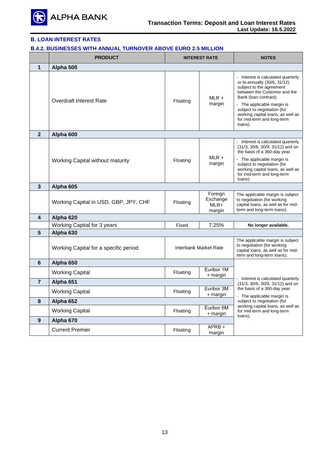

### **Β.4.2. BUSINESSES WITH ANNUAL TURNOVER ABOVE EURO 2.5 MILLION**

|                | <b>PRODUCT</b>                          | <b>INTEREST RATE</b>  |                                       | <b>NOTES</b>                                                                                                                                                                                                                                                                                       |
|----------------|-----------------------------------------|-----------------------|---------------------------------------|----------------------------------------------------------------------------------------------------------------------------------------------------------------------------------------------------------------------------------------------------------------------------------------------------|
| 1              | Alpha 500                               |                       |                                       |                                                                                                                                                                                                                                                                                                    |
|                | <b>Overdraft Interest Rate</b>          | Floating              | $MLR +$<br>margin                     | - Interest is calculated quarterly<br>or bi-annually (30/6, 31/12)<br>subject to the agreement<br>between the Customer and the<br>Bank (loan contract).<br>- The applicable margin is<br>subject to negotiation (for<br>working capital loans, as well as<br>for mid-term and long-term<br>loans). |
| $\overline{2}$ | Alpha 600                               |                       |                                       |                                                                                                                                                                                                                                                                                                    |
|                | <b>Working Capital without maturity</b> | Floating              | $MLR +$<br>margin                     | - Interest is calculated quarterly<br>(31/3, 30/6, 30/9, 31/12) and on<br>the basis of a 360-day year.<br>- The applicable margin is<br>subject to negotiation (for<br>working capital loans, as well as<br>for mid-term and long-term<br>loans).                                                  |
| 3              | Alpha 605                               |                       |                                       |                                                                                                                                                                                                                                                                                                    |
|                | Working Capital in USD, GBP, JPY, CHF   | Floating              | Foreign<br>Exchange<br>MLR+<br>margin | The applicable margin is subject<br>to negotiation (for working<br>capital loans, as well as for mid-<br>term and long-term loans).                                                                                                                                                                |
| 4              | Alpha 620                               |                       |                                       |                                                                                                                                                                                                                                                                                                    |
|                | Working Capital for 3 years             | Fixed                 | 7.25%                                 | No longer available.                                                                                                                                                                                                                                                                               |
| 5              | Alpha 630                               |                       |                                       |                                                                                                                                                                                                                                                                                                    |
|                | Working Capital for a specific period   | Interbank Market Rate |                                       | The applicable margin is subject<br>to negotiation (for working<br>capital loans, as well as for mid-<br>term and long-term loans).                                                                                                                                                                |
| 6              | Alpha 650                               |                       |                                       |                                                                                                                                                                                                                                                                                                    |
|                | <b>Working Capital</b>                  | Floating              | Euribor 1M<br>+ margin                |                                                                                                                                                                                                                                                                                                    |
| $\overline{7}$ | Alpha 651                               |                       |                                       | - Interest is calculated quarterly<br>(31/3, 30/6, 30/9, 31/12) and on                                                                                                                                                                                                                             |
|                | <b>Working Capital</b>                  | Floating              | Euribor 3M<br>$+$ margin              | the basis of a 360-day year.<br>- The applicable margin is                                                                                                                                                                                                                                         |
| 8              | Alpha 652                               |                       |                                       | subject to negotiation (for                                                                                                                                                                                                                                                                        |
|                | <b>Working Capital</b>                  | Floating              | Euribor 6M<br>+ margin                | working capital loans, as well as<br>for mid-term and long-term<br>loans).                                                                                                                                                                                                                         |
| $9$            | Alpha 670                               |                       |                                       |                                                                                                                                                                                                                                                                                                    |
|                | <b>Current Premier</b>                  | Floating              | APRB+<br>margin                       |                                                                                                                                                                                                                                                                                                    |